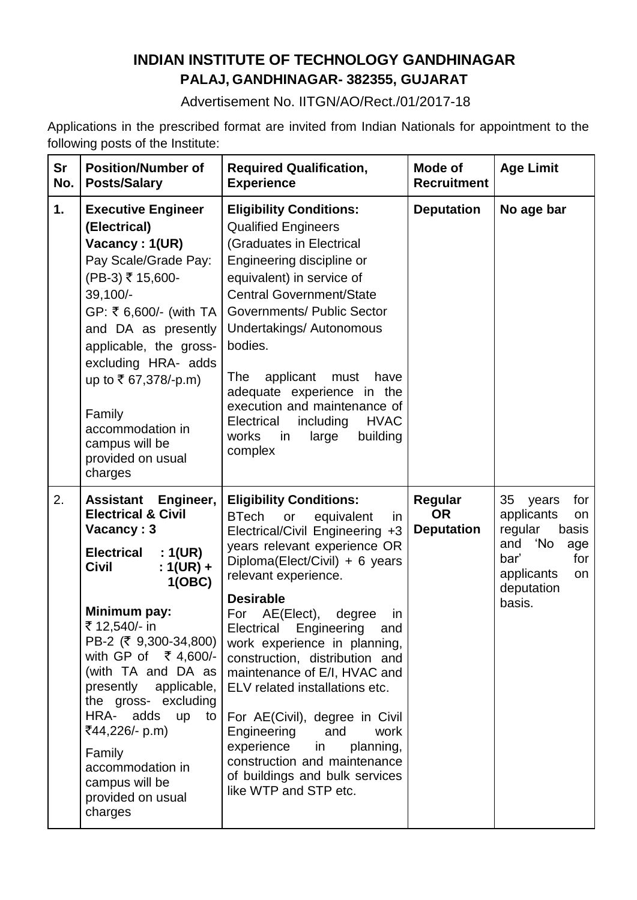# **INDIAN INSTITUTE OF TECHNOLOGY GANDHINAGAR PALAJ, GANDHINAGAR- 382355, GUJARAT**

Advertisement No. IITGN/AO/Rect./01/2017-18

Applications in the prescribed format are invited from Indian Nationals for appointment to the following posts of the Institute:

| Sr<br>No. | <b>Position/Number of</b><br><b>Posts/Salary</b>                                                                                                                                                                                                                                                                                                                                                                                         | <b>Required Qualification,</b><br><b>Experience</b>                                                                                                                                                                                                                                                                                                                                                                                                                                                                                                                                                                                 | <b>Mode of</b><br><b>Recruitment</b>             | <b>Age Limit</b>                                                                                                                           |
|-----------|------------------------------------------------------------------------------------------------------------------------------------------------------------------------------------------------------------------------------------------------------------------------------------------------------------------------------------------------------------------------------------------------------------------------------------------|-------------------------------------------------------------------------------------------------------------------------------------------------------------------------------------------------------------------------------------------------------------------------------------------------------------------------------------------------------------------------------------------------------------------------------------------------------------------------------------------------------------------------------------------------------------------------------------------------------------------------------------|--------------------------------------------------|--------------------------------------------------------------------------------------------------------------------------------------------|
| 1.        | <b>Executive Engineer</b><br>(Electrical)<br>Vacancy: 1(UR)<br>Pay Scale/Grade Pay:<br>(PB-3) ₹ 15,600-<br>39,100/-<br>GP: ₹ 6,600/- (with TA  <br>and DA as presently<br>applicable, the gross-<br>excluding HRA- adds<br>up to ₹ 67,378/-p.m)<br>Family<br>accommodation in<br>campus will be<br>provided on usual<br>charges                                                                                                          | <b>Eligibility Conditions:</b><br><b>Qualified Engineers</b><br>(Graduates in Electrical<br>Engineering discipline or<br>equivalent) in service of<br><b>Central Government/State</b><br><b>Governments/ Public Sector</b><br>Undertakings/ Autonomous<br>bodies.<br>applicant<br>The<br>must<br>have<br>adequate experience in the<br>execution and maintenance of<br>including<br>Electrical<br><b>HVAC</b><br>works<br>building<br>in<br>large<br>complex                                                                                                                                                                        | <b>Deputation</b>                                | No age bar                                                                                                                                 |
| 2.        | Assistant<br>Engineer,<br><b>Electrical &amp; Civil</b><br>Vacancy: 3<br>:1(UR)<br><b>Electrical</b><br><b>Civil</b><br>: $1(UR) +$<br>1(OBC)<br>Minimum pay:<br>₹ 12,540/- in<br>PB-2 (₹ 9,300-34,800)<br>with GP of ₹ 4,600/-<br>(with TA and DA as<br>presently applicable,<br>the gross- excluding<br>HRA- adds<br><b>up</b><br>to<br>₹44,226/- p.m)<br>Family<br>accommodation in<br>campus will be<br>provided on usual<br>charges | <b>Eligibility Conditions:</b><br><b>BTech</b><br>equivalent<br>or<br>in.<br>Electrical/Civil Engineering +3<br>years relevant experience OR<br>Diploma(Elect/Civil) + 6 years<br>relevant experience.<br><b>Desirable</b><br>For<br>AE(Elect),<br>degree<br>in<br>Electrical<br>Engineering<br>and<br>work experience in planning,<br>construction, distribution and<br>maintenance of E/I, HVAC and<br>ELV related installations etc.<br>For AE(Civil), degree in Civil<br>Engineering<br>and<br>work<br>experience<br>in<br>planning,<br>construction and maintenance<br>of buildings and bulk services<br>like WTP and STP etc. | <b>Regular</b><br><b>OR</b><br><b>Deputation</b> | 35<br>years<br>for<br>applicants<br>on<br>regular<br>basis<br>'No<br>and<br>age<br>bar'<br>for<br>applicants<br>on<br>deputation<br>basis. |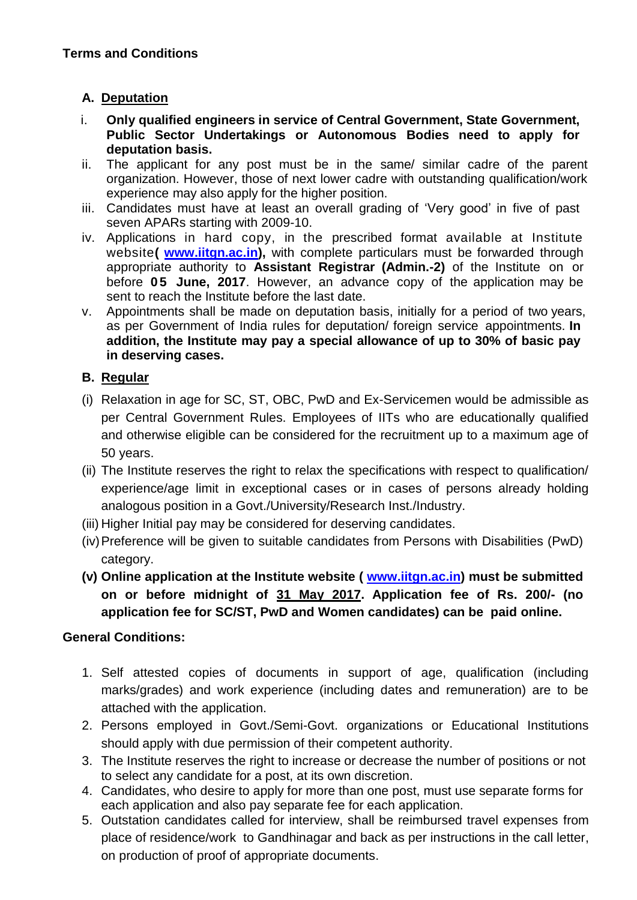## **A. Deputation**

- i. **Only qualified engineers in service of Central Government, State Government, Public Sector Undertakings or Autonomous Bodies need to apply for deputation basis.**
- ii. The applicant for any post must be in the same/ similar cadre of the parent organization. However, those of next lower cadre with outstanding qualification/work experience may also apply for the higher position.
- iii. Candidates must have at least an overall grading of 'Very good' in five of past seven APARs starting with 2009-10.
- iv. Applications in hard copy, in the prescribed format available at Institute website**( [www.iitgn.ac.in\)](http://www.iitgn.ac.in/),** with complete particulars must be forwarded through appropriate authority to **Assistant Registrar (Admin.-2)** of the Institute on or before **0 5 June, 2017**. However, an advance copy of the application may be sent to reach the Institute before the last date.
- v. Appointments shall be made on deputation basis, initially for a period of two years, as per Government of India rules for deputation/ foreign service appointments. **In addition, the Institute may pay a special allowance of up to 30% of basic pay in deserving cases.**

# **B. Regular**

- (i) Relaxation in age for SC, ST, OBC, PwD and Ex-Servicemen would be admissible as per Central Government Rules. Employees of IITs who are educationally qualified and otherwise eligible can be considered for the recruitment up to a maximum age of 50 years.
- (ii) The Institute reserves the right to relax the specifications with respect to qualification/ experience/age limit in exceptional cases or in cases of persons already holding analogous position in a Govt./University/Research Inst./Industry.
- (iii) Higher Initial pay may be considered for deserving candidates.
- (iv)Preference will be given to suitable candidates from Persons with Disabilities (PwD) category.
- **(v) Online application at the Institute website ( [www.iitgn.ac.in\)](http://www.iitgn.ac.in/) must be submitted on or before midnight of 31 May 2017. Application fee of Rs. 200/- (no application fee for SC/ST, PwD and Women candidates) can be paid online.**

## **General Conditions:**

- 1. Self attested copies of documents in support of age, qualification (including marks/grades) and work experience (including dates and remuneration) are to be attached with the application.
- 2. Persons employed in Govt./Semi-Govt. organizations or Educational Institutions should apply with due permission of their competent authority.
- 3. The Institute reserves the right to increase or decrease the number of positions or not to select any candidate for a post, at its own discretion.
- 4. Candidates, who desire to apply for more than one post, must use separate forms for each application and also pay separate fee for each application.
- 5. Outstation candidates called for interview, shall be reimbursed travel expenses from place of residence/work to Gandhinagar and back as per instructions in the call letter, on production of proof of appropriate documents.